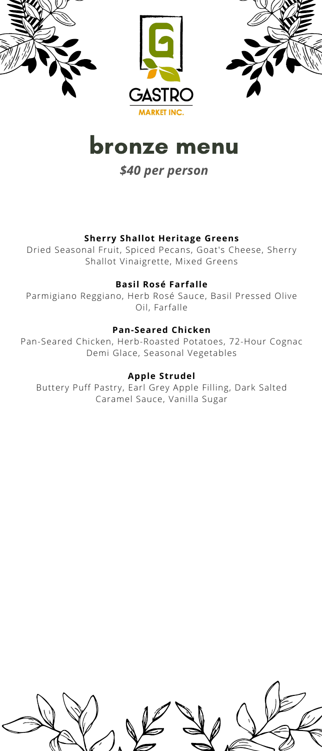

# bronze menu

*\$40 per person*

## **Sherry Shallot Heritage Greens**

Dried Seasonal Fruit, Spiced Pecans, Goat's Cheese, Sherry Shallot Vinaigrette, Mixed Greens

### **Basil Rosé Farfalle**

Parmigiano Reggiano, Herb Rosé Sauce, Basil Pressed Olive Oil, Farfalle

### **Pan-Seared Chicken**

Pan-Seared Chicken, Herb-Roasted Potatoes, 72-Hour Cognac Demi Glace, Seasonal Vegetables

### **Apple Strudel**

Buttery Puff Pastry, Earl Grey Apple Filling, Dark Salted Caramel Sauce, Vanilla Sugar

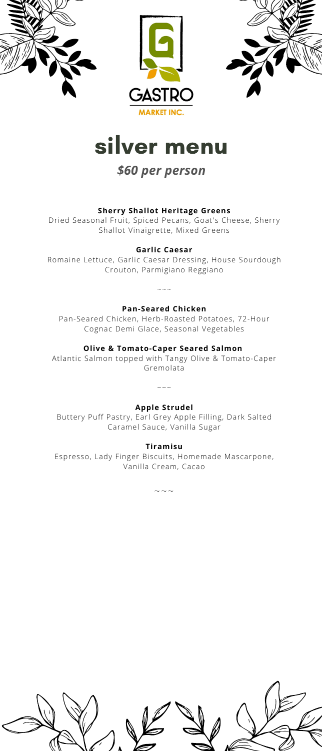

# silver menu

# *\$60 per person*

### **Sherry Shallot Heritage Greens**

Dried Seasonal Fruit, Spiced Pecans, Goat's Cheese, Sherry Shallot Vinaigrette, Mixed Greens

### **Garlic Caesar**

Romaine Lettuce, Garlic Caesar Dressing, House Sourdough Crouton, Parmigiano Reggiano

# ~~~ **Pan-Seared Chicken**

Pan-Seared Chicken, Herb-Roasted Potatoes, 72-Hour Cognac Demi Glace, Seasonal Vegetables

### **Olive & Tomato-Caper Seared Salmon**

Atlantic Salmon topped with Tangy Olive & Tomato-Caper Gremolata

# $\sim$  ~~ **Apple Strudel**

Buttery Puff Pastry, Earl Grey Apple Filling, Dark Salted Caramel Sauce, Vanilla Sugar

### **Tiramisu**

Espresso, Lady Finger Biscuits, Homemade Mascarpone, Vanilla Cream, Cacao

~~~